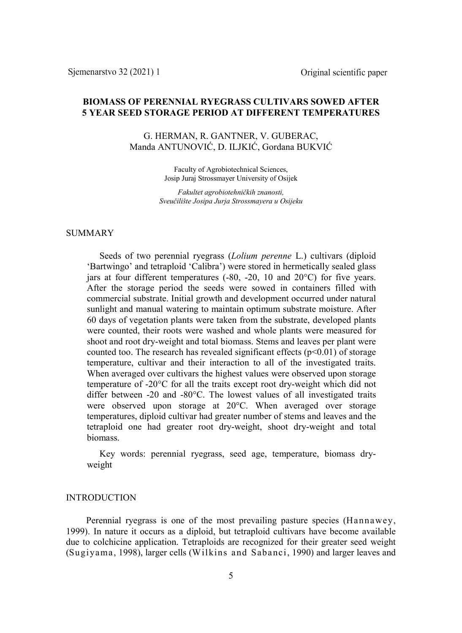# **BIOMASS OF PERENNIAL RYEGRASS CULTIVARS SOWED AFTER 5 YEAR SEED STORAGE PERIOD AT DIFFERENT TEMPERATURES**

G. HERMAN, R. GANTNER, V. GUBERAC, Manda ANTUNOVIĆ, D. ILJKIĆ, Gordana BUKVIĆ

> Faculty of Agrobiotechnical Sciences, Josip Juraj Strossmayer University of Osijek

*Fakultet agrobiotehničkih znanosti, Sveučilište Josipa Jurja Strossmayera u Osijeku*

## **SUMMARY**

Seeds of two perennial ryegrass (*Lolium perenne* L.) cultivars (diploid 'Bartwingo' and tetraploid 'Calibra') were stored in hermetically sealed glass jars at four different temperatures (-80, -20, 10 and 20°C) for five years. After the storage period the seeds were sowed in containers filled with commercial substrate. Initial growth and development occurred under natural sunlight and manual watering to maintain optimum substrate moisture. After 60 days of vegetation plants were taken from the substrate, developed plants were counted, their roots were washed and whole plants were measured for shoot and root dry-weight and total biomass. Stems and leaves per plant were counted too. The research has revealed significant effects  $(p<0.01)$  of storage temperature, cultivar and their interaction to all of the investigated traits. When averaged over cultivars the highest values were observed upon storage temperature of -20°C for all the traits except root dry-weight which did not differ between -20 and -80°C. The lowest values of all investigated traits were observed upon storage at 20°C. When averaged over storage temperatures, diploid cultivar had greater number of stems and leaves and the tetraploid one had greater root dry-weight, shoot dry-weight and total biomass.

Key words: perennial ryegrass, seed age, temperature, biomass dryweight

### INTRODUCTION

Perennial ryegrass is one of the most prevailing pasture species (Hannawey, 1999). In nature it occurs as a diploid, but tetraploid cultivars have become available due to colchicine application. Tetraploids are recognized for their greater seed weight (Sugiyama, 1998), larger cells (Wilkins and Sabanci, 1990) and larger leaves and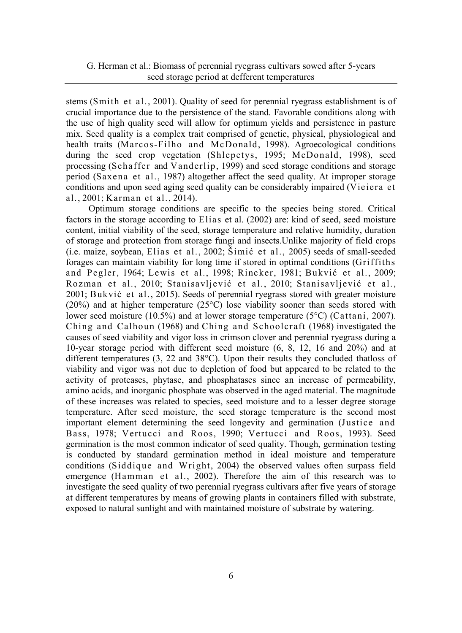stems (Smith et al., 2001). Quality of seed for perennial ryegrass establishment is of crucial importance due to the persistence of the stand. Favorable conditions along with the use of high quality seed will allow for optimum yields and persistence in pasture mix. Seed quality is a complex trait comprised of genetic, physical, physiological and health traits (Marcos-Filho and McDonald, 1998). Agroecological conditions during the seed crop vegetation (Shlepetys, 1995; McDonald, 1998), seed processing (Schaffer and Vanderlip, 1999) and seed storage conditions and storage period (Saxena et al., 1987) altogether affect the seed quality. At improper storage conditions and upon seed aging seed quality can be considerably impaired (Vieiera et al., 2001; Karman et al., 2014).

Optimum storage conditions are specific to the species being stored. Critical factors in the storage according to Elias et al. (2002) are: kind of seed, seed moisture content, initial viability of the seed, storage temperature and relative humidity, duration of storage and protection from storage fungi and insects.Unlike majority of field crops (i.e. maize, soybean, Elias et al., 2002; Šimić et al., 2005) seeds of small-seeded forages can maintain viability for long time if stored in optimal conditions (Griffiths and Pegler, 1964; Lewis et al., 1998; Rincker, 1981; Bukvić et al., 2009; Rozman et al., 2010; Stanisavljević et al., 2010; Stanisavljević et al., 2001; Bukvić et al., 2015). Seeds of perennial ryegrass stored with greater moisture  $(20\%)$  and at higher temperature  $(25\degree C)$  lose viability sooner than seeds stored with lower seed moisture (10.5%) and at lower storage temperature (5°C) (Cattani, 2007). Ching and Calhoun (1968) and Ching and Schoolcraft (1968) investigated the causes of seed viability and vigor loss in crimson clover and perennial ryegrass during a 10-year storage period with different seed moisture (6, 8, 12, 16 and 20%) and at different temperatures (3, 22 and 38°C). Upon their results they concluded thatloss of viability and vigor was not due to depletion of food but appeared to be related to the activity of proteases, phytase, and phosphatases since an increase of permeability, amino acids, and inorganic phosphate was observed in the aged material. The magnitude of these increases was related to species, seed moisture and to a lesser degree storage temperature. After seed moisture, the seed storage temperature is the second most important element determining the seed longevity and germination (Justice and Bass, 1978; Vertucci and Roos, 1990; Vertucci and Roos, 1993). Seed germination is the most common indicator of seed quality. Though, germination testing is conducted by standard germination method in ideal moisture and temperature conditions (Siddique and Wright, 2004) the observed values often surpass field emergence (Hamman et al., 2002). Therefore the aim of this research was to investigate the seed quality of two perennial ryegrass cultivars after five years of storage at different temperatures by means of growing plants in containers filled with substrate, exposed to natural sunlight and with maintained moisture of substrate by watering.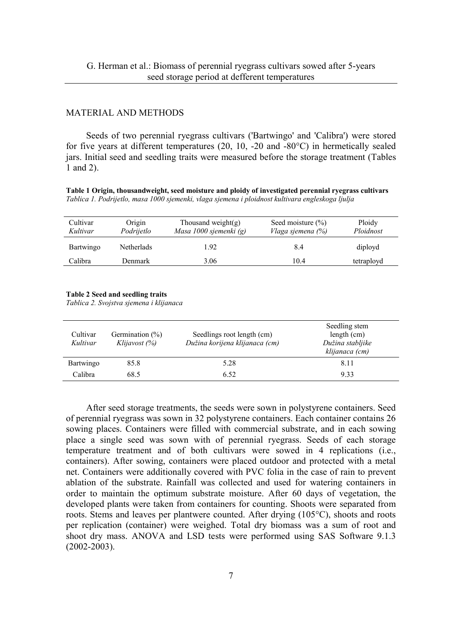# MATERIAL AND METHODS

Seeds of two perennial ryegrass cultivars ('Bartwingo' and 'Calibra') were stored for five years at different temperatures (20, 10, -20 and -80 $^{\circ}$ C) in hermetically sealed jars. Initial seed and seedling traits were measured before the storage treatment (Tables 1 and 2).

**Table 1 Origin, thousandweight, seed moisture and ploidy of investigated perennial ryegrass cultivars** *Tablica 1. Podrijetlo, masa 1000 sjemenki, vlaga sjemena i ploidnost kultivara engleskoga ljulja*

| Cultivar<br>Kultivar | Origin<br>Podrijetlo | Thousand weight $(g)$<br>Masa 1000 sjemenki (g) | Seed moisture $(\% )$<br>Vlaga sjemena (%) | Ploidy<br>Ploidnost |
|----------------------|----------------------|-------------------------------------------------|--------------------------------------------|---------------------|
| Bartwingo            | Netherlads           | 1.92                                            | 8.4                                        | diployd             |
| Calibra              | Denmark              | 3.06                                            | 10.4                                       | tetraployd          |

#### **Table 2 Seed and seedling traits**

*Tablica 2. Svojstva sjemena i klijanaca*

| Cultivar<br>Kultivar | Germination $(\%)$<br>Klijavost (%) | Seedlings root length (cm)<br>Dužina korijena klijanaca (cm) | Seedling stem<br>length $(cm)$<br>Dužina stabljike<br>klijanaca (cm) |
|----------------------|-------------------------------------|--------------------------------------------------------------|----------------------------------------------------------------------|
| Bartwingo            | 85.8                                | 5.28                                                         | 8.11                                                                 |
| Calibra              | 68.5                                | 6.52                                                         | 9.33                                                                 |

After seed storage treatments, the seeds were sown in polystyrene containers. Seed of perennial ryegrass was sown in 32 polystyrene containers. Each container contains 26 sowing places. Containers were filled with commercial substrate, and in each sowing place a single seed was sown with of perennial ryegrass. Seeds of each storage temperature treatment and of both cultivars were sowed in 4 replications (i.e., containers). After sowing, containers were placed outdoor and protected with a metal net. Containers were additionally covered with PVC folia in the case of rain to prevent ablation of the substrate. Rainfall was collected and used for watering containers in order to maintain the optimum substrate moisture. After 60 days of vegetation, the developed plants were taken from containers for counting. Shoots were separated from roots. Stems and leaves per plantwere counted. After drying (105°C), shoots and roots per replication (container) were weighed. Total dry biomass was a sum of root and shoot dry mass. ANOVA and LSD tests were performed using SAS Software 9.1.3 (2002-2003).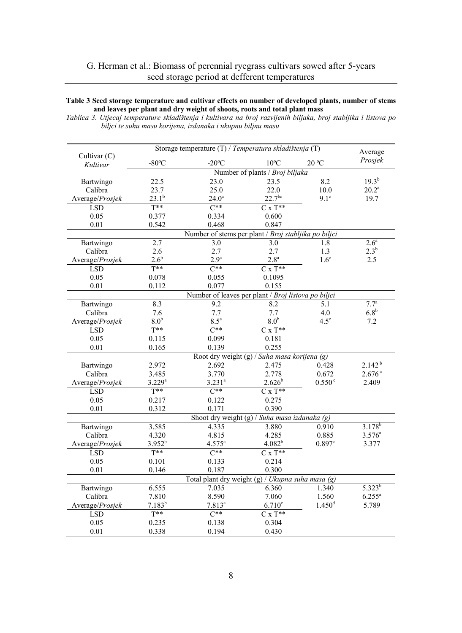#### **Table 3 Seed storage temperature and cultivar effects on number of developed plants, number of stems and leaves per plant and dry weight of shoots, roots and total plant mass**

*Tablica 3. Utjecaj temperature skladištenja i kultivara na broj razvijenih biljaka, broj stabljika i listova po biljci te suhu masu korijena, izdanaka i ukupnu biljnu masu*

|                 | Storage temperature (T) / Temperatura skladištenja (T) |                                               |                    |                    | Average            |  |  |
|-----------------|--------------------------------------------------------|-----------------------------------------------|--------------------|--------------------|--------------------|--|--|
| Cultivar $(C)$  | $-80^{\circ}$ C                                        | $-20^{\circ}$ C                               | $10^{\circ}$ C     | $20^{\circ}$ C     | Prosjek            |  |  |
| Kultivar        | Number of plants / Broj biljaka                        |                                               |                    |                    |                    |  |  |
| Bartwingo       | $19.3^{b}$<br>22.5<br>8.2<br>23.5<br>23.0              |                                               |                    |                    |                    |  |  |
| Calibra         | 23.7                                                   | 25.0                                          | 22.0               | 10.0               | $20.2^a$           |  |  |
| Average/Prosjek | $23.1^{b}$                                             | $24.0^{\circ}$                                | $22.7^{bc}$        | $9.1^\circ$        | 19.7               |  |  |
| <b>LSD</b>      | $T**$                                                  | $\overline{C^{**}}$                           | $C \times T^{**}$  |                    |                    |  |  |
| 0.05            | 0.377                                                  | 0.334                                         | 0.600              |                    |                    |  |  |
| 0.01            | 0.542                                                  | 0.468                                         | 0.847              |                    |                    |  |  |
|                 | Number of stems per plant / Broj stabljika po biljci   |                                               |                    |                    |                    |  |  |
| Bartwingo       | 2.7                                                    | 3.0                                           | 3.0                | 1.8                | 2.6 <sup>a</sup>   |  |  |
| Calibra         | 2.6                                                    | 2.7                                           | 2.7                | 1.3                | $2.3^{b}$          |  |  |
| Average/Prosjek | $2.6^{\rm b}$                                          | $2.9^a$                                       | 2.8 <sup>a</sup>   | 1.6 <sup>c</sup>   | 2.5                |  |  |
| <b>LSD</b>      | $T^{**}$                                               | $C^{**}$                                      | $C \times T^{**}$  |                    |                    |  |  |
| 0.05            | 0.078                                                  | 0.055                                         | 0.1095             |                    |                    |  |  |
| 0.01            | 0.112                                                  | 0.077                                         | 0.155              |                    |                    |  |  |
|                 | Number of leaves per plant / Broj listova po biljci    |                                               |                    |                    |                    |  |  |
| Bartwingo       | 8.3                                                    | 9.2                                           | 8.2                | $\overline{5.1}$   | 7.7 <sup>a</sup>   |  |  |
| Calibra         | 7.6                                                    | 7.7                                           | 7.7                | 4.0                | 6.8 <sup>b</sup>   |  |  |
| Average/Prosjek | 8.0 <sup>b</sup>                                       | $8.5^a$                                       | 8.0 <sup>b</sup>   | $4.5^\circ$        | 7.2                |  |  |
| <b>LSD</b>      | $T**$                                                  | $C^{**}$                                      | $Cx T**$           |                    |                    |  |  |
| 0.05            | 0.115                                                  | 0.099                                         | 0.181              |                    |                    |  |  |
| 0.01            | 0.165                                                  | 0.139                                         | 0.255              |                    |                    |  |  |
|                 | Root dry weight (g) / Suha masa korijena (g)           |                                               |                    |                    |                    |  |  |
| Bartwingo       | 2.972                                                  | 2.692                                         | 2.475              | 0.428              | $2.142^{b}$        |  |  |
| Calibra         | 3.485                                                  | 3.770                                         | 2.778              | 0.672              | 2.676 <sup>a</sup> |  |  |
| Average/Prosjek | $3.229^{a}$                                            | $3.231^a$                                     | $2.626^{b}$        | 0.550 <sup>c</sup> | 2.409              |  |  |
| <b>LSD</b>      | $T^{**}$                                               | $\overline{C^{**}}$                           | $C \times T^{**}$  |                    |                    |  |  |
| 0.05            | 0.217                                                  | 0.122                                         | 0.275              |                    |                    |  |  |
| 0.01            | 0.312                                                  | 0.171                                         | 0.390              |                    |                    |  |  |
|                 |                                                        | Shoot dry weight (g) / Suha masa izdanaka (g) |                    |                    |                    |  |  |
| Bartwingo       | 3.585                                                  | 4.335                                         | 3.880              | 0.910              | $3.178^{b}$        |  |  |
| Calibra         | 4.320                                                  | 4.815                                         | 4.285              | 0.885              | $3.576^{a}$        |  |  |
| Average/Prosjek | $3.952^{b}$                                            | $4.575^a$                                     | 4.082 <sup>b</sup> | 0.897c             | 3.377              |  |  |
| <b>LSD</b>      | $T^{**}$                                               | $C^{**}$                                      | $C \times T^{**}$  |                    |                    |  |  |
| 0.05            | 0.101                                                  | 0.133                                         | 0.214              |                    |                    |  |  |
| 0.01            | 0.146                                                  | 0.187                                         | 0.300              |                    |                    |  |  |
|                 | Total plant dry weight (g) / Ukupna suha masa (g)      |                                               |                    |                    |                    |  |  |
| Bartwingo       | 6.555                                                  | 7.035                                         | 6.360              | 1.340              | $5.323^{b}$        |  |  |
| Calibra         | 7.810                                                  | 8.590                                         | 7.060              | 1.560              | $6.255^{a}$        |  |  |
| Average/Prosjek | $7.183^{b}$                                            | $7.813^{a}$                                   | 6.710 <sup>c</sup> | 1.450 <sup>d</sup> | 5.789              |  |  |
| LSD             | $T^{**}$                                               | $C^{**}$                                      | $Cx T^{**}$        |                    |                    |  |  |
| 0.05            | 0.235                                                  | 0.138                                         | 0.304              |                    |                    |  |  |
| 0.01            | 0.338                                                  | 0.194                                         | 0.430              |                    |                    |  |  |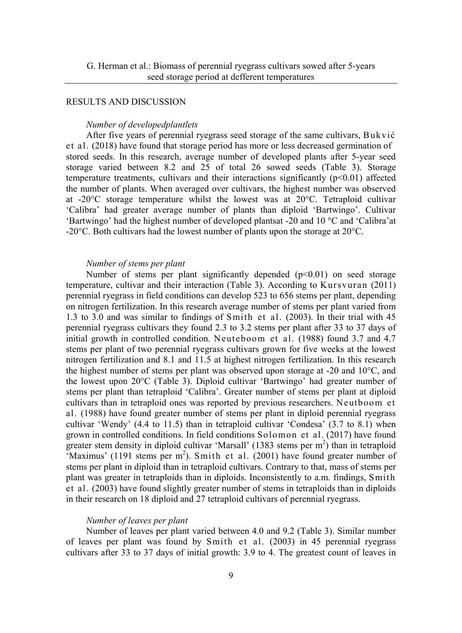## RESULTS AND DISCUSSION

#### *Number of developedplantlets*

After five years of perennial ryegrass seed storage of the same cultivars, Bukvić et al. (2018) have found that storage period has more or less decreased germination of stored seeds. In this research, average number of developed plants after 5-year seed storage varied between 8.2 and 25 of total 26 sowed seeds (Table 3). Storage temperature treatments, cultivars and their interactions significantly  $(p<0.01)$  affected the number of plants. When averaged over cultivars, the highest number was observed at -20°C storage temperature whilst the lowest was at 20°C. Tetraploid cultivar 'Calibra' had greater average number of plants than diploid 'Bartwingo'. Cultivar 'Bartwingo' had the highest number of developed plantsat -20 and 10 °C and 'Calibra'at -20°C. Both cultivars had the lowest number of plants upon the storage at 20°C.

## *Number of stems per plant*

Number of stems per plant significantly depended  $(p<0.01)$  on seed storage temperature, cultivar and their interaction (Table 3). According to Kursvuran (2011) perennial ryegrass in field conditions can develop 523 to 656 stems per plant, depending on nitrogen fertilization. In this research average number of stems per plant varied from 1.3 to 3.0 and was similar to findings of Smith et al. (2003). In their trial with 45 perennial ryegrass cultivars they found 2.3 to 3.2 stems per plant after 33 to 37 days of initial growth in controlled condition. Neuteboom et al. (1988) found 3.7 and 4.7 stems per plant of two perennial ryegrass cultivars grown for five weeks at the lowest nitrogen fertilization and 8.1 and 11.5 at highest nitrogen fertilization. In this research the highest number of stems per plant was observed upon storage at -20 and 10°C, and the lowest upon 20°C (Table 3). Diploid cultivar 'Bartwingo' had greater number of stems per plant than tetraploid 'Calibra'. Greater number of stems per plant at diploid cultivars than in tetraploid ones was reported by previous researchers. Neutboom et al. (1988) have found greater number of stems per plant in diploid perennial ryegrass cultivar 'Wendy' (4.4 to 11.5) than in tetraploid cultivar 'Condesa' (3.7 to 8.1) when grown in controlled conditions. In field conditions Solomon et al. (2017) have found greater stem density in diploid cultivar 'Marsall' (1383 stems per  $m<sup>2</sup>$ ) than in tetraploid 'Maximus' (1191 stems per  $m<sup>2</sup>$ ). Smith et al. (2001) have found greater number of stems per plant in diploid than in tetraploid cultivars. Contrary to that, mass of stems per plant was greater in tetraploids than in diploids. Inconsistently to a.m. findings, Smith et al. (2003) have found slightly greater number of stems in tetraploids than in diploids in their research on 18 diploid and 27 tetraploid cultivars of perennial ryegrass.

#### *Number of leaves per plant*

Number of leaves per plant varied between 4.0 and 9.2 (Table 3). Similar number of leaves per plant was found by Smith et al. (2003) in 45 perennial ryegrass cultivars after 33 to 37 days of initial growth: 3.9 to 4. The greatest count of leaves in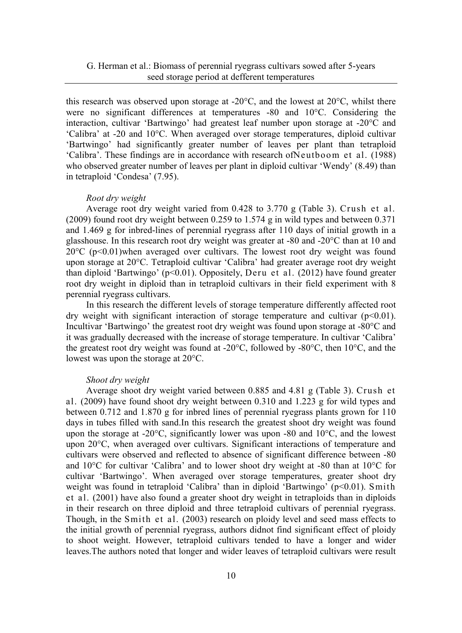this research was observed upon storage at -20°C, and the lowest at 20°C, whilst there were no significant differences at temperatures -80 and 10°C. Considering the interaction, cultivar 'Bartwingo' had greatest leaf number upon storage at -20°C and 'Calibra' at -20 and 10°C. When averaged over storage temperatures, diploid cultivar 'Bartwingo' had significantly greater number of leaves per plant than tetraploid 'Calibra'. These findings are in accordance with research ofNeutboom et al. (1988) who observed greater number of leaves per plant in diploid cultivar 'Wendy' (8.49) than in tetraploid 'Condesa' (7.95).

## *Root dry weight*

Average root dry weight varied from 0.428 to 3.770 g (Table 3). Crush et al. (2009) found root dry weight between 0.259 to 1.574 g in wild types and between 0.371 and 1.469 g for inbred-lines of perennial ryegrass after 110 days of initial growth in a glasshouse. In this research root dry weight was greater at -80 and -20°C than at 10 and  $20^{\circ}$ C (p<0.01) when averaged over cultivars. The lowest root dry weight was found upon storage at 20°C. Tetraploid cultivar 'Calibra' had greater average root dry weight than diploid 'Bartwingo' ( $p<0.01$ ). Oppositely, Deru et al. (2012) have found greater root dry weight in diploid than in tetraploid cultivars in their field experiment with 8 perennial ryegrass cultivars.

In this research the different levels of storage temperature differently affected root dry weight with significant interaction of storage temperature and cultivar  $(p<0.01)$ . Incultivar 'Bartwingo' the greatest root dry weight was found upon storage at -80°C and it was gradually decreased with the increase of storage temperature. In cultivar 'Calibra' the greatest root dry weight was found at -20°C, followed by -80°C, then 10°C, and the lowest was upon the storage at 20°C.

### *Shoot dry weight*

Average shoot dry weight varied between 0.885 and 4.81 g (Table 3). Crush et al. (2009) have found shoot dry weight between 0.310 and 1.223 g for wild types and between 0.712 and 1.870 g for inbred lines of perennial ryegrass plants grown for 110 days in tubes filled with sand.In this research the greatest shoot dry weight was found upon the storage at -20°C, significantly lower was upon -80 and 10°C, and the lowest upon 20°C, when averaged over cultivars. Significant interactions of temperature and cultivars were observed and reflected to absence of significant difference between -80 and 10°C for cultivar 'Calibra' and to lower shoot dry weight at -80 than at 10°C for cultivar 'Bartwingo'. When averaged over storage temperatures, greater shoot dry weight was found in tetraploid 'Calibra' than in diploid 'Bartwingo' (p<0.01). Smith et al. (2001) have also found a greater shoot dry weight in tetraploids than in diploids in their research on three diploid and three tetraploid cultivars of perennial ryegrass. Though, in the Smith et al. (2003) research on ploidy level and seed mass effects to the initial growth of perennial ryegrass, authors didnot find significant effect of ploidy to shoot weight. However, tetraploid cultivars tended to have a longer and wider leaves.The authors noted that longer and wider leaves of tetraploid cultivars were result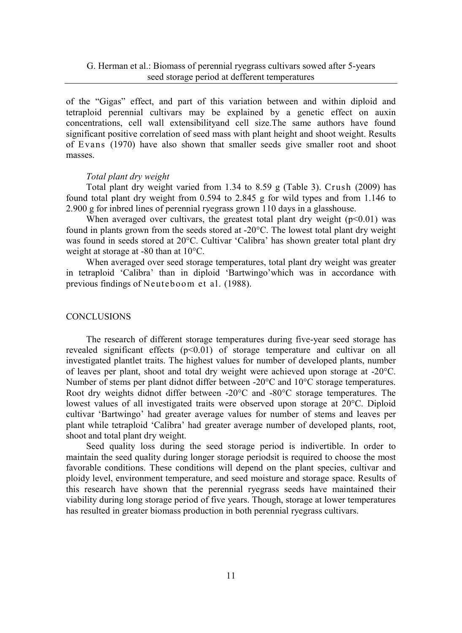of the "Gigas" effect, and part of this variation between and within diploid and tetraploid perennial cultivars may be explained by a genetic effect on auxin concentrations, cell wall extensibilityand cell size.The same authors have found significant positive correlation of seed mass with plant height and shoot weight. Results of Evans (1970) have also shown that smaller seeds give smaller root and shoot masses.

#### *Total plant dry weight*

Total plant dry weight varied from 1.34 to 8.59 g (Table 3). Crush (2009) has found total plant dry weight from 0.594 to 2.845 g for wild types and from 1.146 to 2.900 g for inbred lines of perennial ryegrass grown 110 days in a glasshouse.

When averaged over cultivars, the greatest total plant dry weight  $(p<0.01)$  was found in plants grown from the seeds stored at -20°C. The lowest total plant dry weight was found in seeds stored at 20°C. Cultivar 'Calibra' has shown greater total plant dry weight at storage at -80 than at 10°C.

When averaged over seed storage temperatures, total plant dry weight was greater in tetraploid 'Calibra' than in diploid 'Bartwingo'which was in accordance with previous findings of Neuteboom et al. (1988).

## **CONCLUSIONS**

The research of different storage temperatures during five-year seed storage has revealed significant effects  $(p<0.01)$  of storage temperature and cultivar on all investigated plantlet traits. The highest values for number of developed plants, number of leaves per plant, shoot and total dry weight were achieved upon storage at -20°C. Number of stems per plant didnot differ between -20°C and 10°C storage temperatures. Root dry weights didnot differ between -20°C and -80°C storage temperatures. The lowest values of all investigated traits were observed upon storage at 20°C. Diploid cultivar 'Bartwingo' had greater average values for number of stems and leaves per plant while tetraploid 'Calibra' had greater average number of developed plants, root, shoot and total plant dry weight.

Seed quality loss during the seed storage period is indivertible. In order to maintain the seed quality during longer storage periodsit is required to choose the most favorable conditions. These conditions will depend on the plant species, cultivar and ploidy level, environment temperature, and seed moisture and storage space. Results of this research have shown that the perennial ryegrass seeds have maintained their viability during long storage period of five years. Though, storage at lower temperatures has resulted in greater biomass production in both perennial ryegrass cultivars.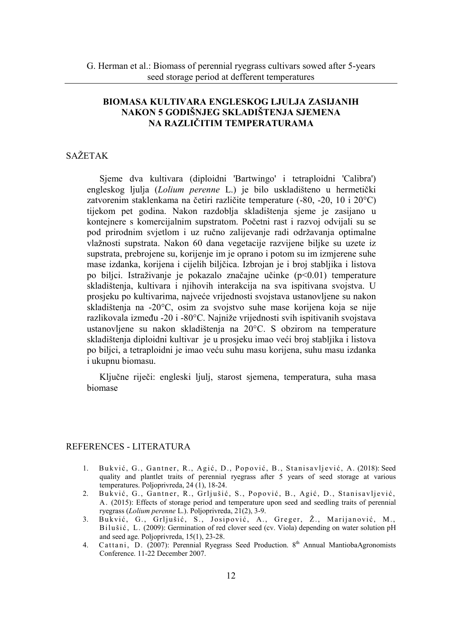# **BIOMASA KULTIVARA ENGLESKOG LJULJA ZASIJANIH NAKON 5 GODIŠNJEG SKLADIŠTENJA SJEMENA NA RAZLIČITIM TEMPERATURAMA**

# SAŽETAK

Sjeme dva kultivara (diploidni 'Bartwingo' i tetraploidni 'Calibra') engleskog ljulja (*Lolium perenne* L.) je bilo uskladišteno u hermetički zatvorenim staklenkama na četiri različite temperature (-80, -20, 10 i 20°C) tijekom pet godina. Nakon razdoblja skladištenja sjeme je zasijano u kontejnere s komercijalnim supstratom. Početni rast i razvoj odvijali su se pod prirodnim svjetlom i uz ručno zalijevanje radi održavanja optimalne vlažnosti supstrata. Nakon 60 dana vegetacije razvijene biljke su uzete iz supstrata, prebrojene su, korijenje im je oprano i potom su im izmjerene suhe mase izdanka, korijena i cijelih biljčica. Izbrojan je i broj stabljika i listova po biljci. Istraživanje je pokazalo značajne učinke (p<0.01) temperature skladištenja, kultivara i njihovih interakcija na sva ispitivana svojstva. U prosjeku po kultivarima, najveće vrijednosti svojstava ustanovljene su nakon skladištenja na -20°C, osim za svojstvo suhe mase korijena koja se nije razlikovala između -20 i -80°C. Najniže vrijednosti svih ispitivanih svojstava ustanovljene su nakon skladištenja na 20°C. S obzirom na temperature skladištenja diploidni kultivar je u prosjeku imao veći broj stabljika i listova po biljci, a tetraploidni je imao veću suhu masu korijena, suhu masu izdanka i ukupnu biomasu.

Ključne riječi: engleski ljulj, starost sjemena, temperatura, suha masa biomase

# REFERENCES - LITERATURA

- 1. Bukvić, G., Gantner, R., Agić, D., Popović, B., Stanisavljević, A. (2018): Seed quality and plantlet traits of perennial ryegrass after 5 years of seed storage at various temperatures. Poljoprivreda, 24 (1), 18-24.
- 2. Bukvić, G., Gantner, R., Grljušić, S., Popović, B., Agić, D., Stanisavljević, A. (2015): Effects of storage period and temperature upon seed and seedling traits of perennial ryegrass (*Lolium perenne* L.). Poljoprivreda, 21(2), 3-9.
- 3. Bukvić, G., Grljušić, S., Josipović, A., Greger, Ž., Marijanović, M., Bilušić, L. (2009): Germination of red clover seed (cv. Viola) depending on water solution pH and seed age. Poljoprivreda, 15(1), 23-28.
- 4. Cattani, D. (2007): Perennial Ryegrass Seed Production. 8<sup>th</sup> Annual MantiobaAgronomists Conference. 11-22 December 2007.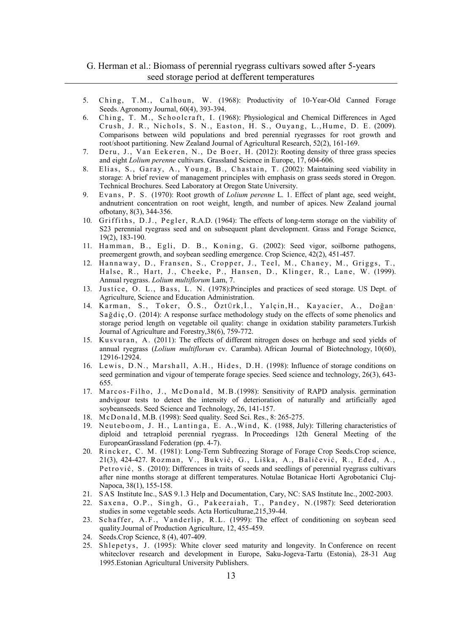# G. Herman et al.: Biomass of perennial ryegrass cultivars sowed after 5-years seed storage period at defferent temperatures

- 5. Ching, T.M., Calhoun, W. (1968): Productivity of 10-Year-Old Canned Forage Seed[s.](https://www.agronomy.org/publications/aj/abstracts/60/4/AJ0600040393?access=0&view=pdf#FN1#FN1). [Agronomy Journal,](https://www.agronomy.org/publications/aj/abstracts/60/4/AJ0600040393?access=0&view=pdf#FN1#FN1) 60(4), 393-394.
- 6. Ching, T. M., Schoolcraft, I. (1968): Physiological and Chemical Differences in Aged Crush, J. R., Nichols, S. N., Easton, H. S., Ouyang, L.,Hume, D. E. (2009). Comparisons between wild populations and bred perennial ryegrasses for root growth and root/shoot partitioning. New Zealand Journal of Agricultural Research, 52(2), 161-169.
- 7. Deru, J., Van Eekeren, N., De Boer, H. (2012): Rooting density of three grass species and eight *Lolium perenne* cultivars. Grassland Science in Europe, 17, 604-606.
- 8. Elias, S., Garay, A., Young, B., Chastain, T. (2002): Maintaining seed viability in storage: A brief review of management principles with emphasis on grass seeds stored in Oregon. Technical Brochures. Seed Laboratory at Oregon State University.
- 9. Evans, P. S. (1970): Root growth of *Lolium perenne* L. 1. Effect of plant age, seed weight, andnutrient concentration on root weight, length, and number of apices. New Zealand journal ofbotany, 8(3), 344-356.
- 10. Griffiths, D.J., Pegler, R.A.D. (1964): The effects of long-term storage on the viability of S23 perennial ryegrass seed and on subsequent plant development. Grass and Forage Science, 19(2), 183-190.
- 11. Hamman, B., Egli, D. B., Koning, G. (2002): Seed vigor, soilborne pathogens, preemergent growth, and soybean seedling emergence. Crop Science, 42(2), 451-457.
- 12. Hannaway, D., Fransen, S., Cropper, J., Teel, M., Chaney, M., Griggs, T., Halse, R., Hart, J., Cheeke, P., Hansen, D., Klinger, R., Lane, W. (1999). Annual ryegrass. *Lolium multiflorum* Lam, 7.
- 13. Justice, O. L., Bass, L. N. (1978):Principles and practices of seed storage. US Dept. of Agriculture, Science and Education Administration.
- 14. Karman, S., Toker, Ö.S., Öztürk,İ., Yalçin,H., Kayacier, A., Doğan Sağdiç,O. (2014): A response surface methodology study on the effects of some phenolics and storage period length on vegetable oil quality: change in oxidation stability parameters.Turkish Journal of Agriculture and Forestry,38(6), 759-772.
- 15. Kusvuran, A. (2011): The effects of different nitrogen doses on herbage and seed yields of annual ryegrass (*Lolium multiflorum* cv. Caramba). African Journal of Biotechnology, 10(60), 12916-12924.
- 16. Lewis, D.N., Marshall, A.H., Hides, D.H. (1998): Influence of storage conditions on seed germination and vigour of temperate forage species. Seed science and technology, 26(3), 643- 655.
- 17. Marcos-Filho, J., McDonald, M.B.(1998): Sensitivity of RAPD analysis. germination andvigour tests to detect the intensity of deterioration of naturally and artificially aged soybeanseeds. Seed Science and Technology, 26, 141-157.
- 18. McDonald, M.B. (1998): Seed quality. Seed Sci. Res., 8: 265-275.
- 19. Neuteboom, J. H., Lantinga, E. A.,Wind, K. (1988, July): Tillering characteristics of diploid and tetraploid perennial ryegrass. In Proceedings 12th General Meeting of the EuropeanGrassland Federation (pp. 4-7).
- 20. Rincker, C. M. (1981): Long-Term Subfreezing Storage of Forage Crop Seeds.Crop science, 21(3), 424-427. Rozman, V., Bukvić, G., Liška, A., Baličević, R., Eđed, A., Petrović, S. (2010): Differences in traits of seeds and seedlings of perennial ryegrass cultivars after nine months storage at different temperatures. Notulae Botanicae Horti Agrobotanici Cluj-Napoca, 38(1), 155-158.
- 21. SAS Institute Inc., SAS 9.1.3 Help and Documentation, Cary, NC: SAS Institute Inc., 2002-2003.
- 22. Saxena, O.P., Singh, G., Pakeeraiah, T., Pandey, N.(1987): Seed deterioration studies in some vegetable seeds. Acta Horticulturae,215,39-44.
- 23. Schaffer, A.F., Vanderlip, R.L. (1999): The effect of conditioning on soybean seed quality.Journal of Production Agriculture, 12, 455-459.
- 24. Seeds[.Crop Science,](https://dl.sciencesocieties.org/publications/cs) 8 (4), 407-409.
- 25. Shlepetys, J. (1995): White clover seed maturity and longevity. In Conference on recent whiteclover research and development in Europe, Saku-Jogeva-Tartu (Estonia), 28-31 Aug 1995.Estonian Agricultural University Publishers.